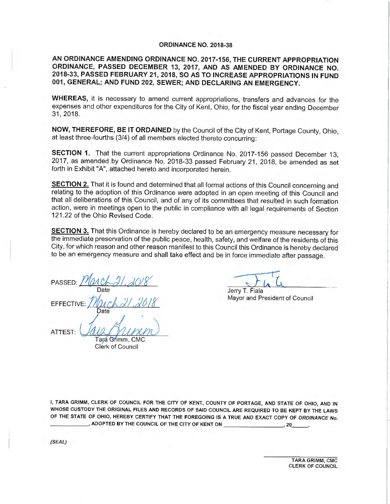### **ORDINANCE NO. 2018-38**

**AN ORDINANCE AMENDING ORDINANCE NO. 2017-156, THE CURRENT APPROPRIATION ORDINANCE, PASSED DECEMBER 13, 2017, AND AS AMENDED BY ORDINANCE NO. 2018-33, PASSED FEBRUARY 21 , 2018, SO AS TO INCREASE APPROPRIATIONS IN FUND 001, GENERAL; AND FUND 202, SEWER; AND DECLARING AN EMERGENCY.** 

**WHEREAS,** it is necessary to amend current appropriations, transfers and advances for the expenses and other expenditures for the City of Kent, Ohio, for the fiscal year ending December 31, 2018.

**NOW, THEREFORE, BE IT ORDAINED** by the Council of the City of Kent, Portage County, Ohio, at least three-fourths (3/4) of all members elected thereto concurring:

**SECTION** 1. That the current appropriations Ordinance No. 2017-156 passed December 13, 2017, as amended by Ordinance No. 2018-33 passed February 21, 2018, be amended as set forth in Exhibit "A", attached hereto and incorporated herein.

**SECTION 2.** That it is found and determined that all formal actions of this Council concerning and relating to the adoption of this Ordinance were adopted in an open meeting of this Council and that all deliberations of this Council, and of any of its committees that resulted in such formation action, were in meetings open to the public in compliance with all legal requirements of Section 121.22 of the Ohio Revised Code.

**SECTION 3.** That this Ordinance is hereby declared to be an emergency measure necessary for the immediate preservation of the public peace, health, safety, and welfare of the residents of this City, for which reason and other reason manifest to this Council this Ordinance is hereby declared to be an emergency measure and shall take effect and be in force immediate after passage.

PASSED: March 21, 2018 Date EFFECTIVE: *Pltuct dl,/J()* 1 *f*  **Date** Date<br>ATTEST: AND ANDIDID

Tara Grimm, CMC Clerk of Council

Jerry T. Fiala

Mayor and President of Council

I, **TARA GRIMM,** CLERK OF COUNCIL FOR THE CITY OF KENT, COUNTY OF PORTAGE, AND STATE OF OHIO, **AND IN**  WHOSE CUSTODY THE ORIGINAL FILES AND RECORDS OF SAID COUNCIL ARE REQUIRED TO BE KEPT BY THE LAWS OF THE STATE OF OHIO, HEREBY CERTIFY THAT THE FOREGOING IS A TRUE AND EXACT COPY OF ORDINANCE No.<br>\_\_\_\_\_\_\_\_\_\_\_\_\_\_\_, ADOPTED BY THE COUNCIL OF THE CITY OF KENT ON \_\_\_\_\_\_\_\_\_\_\_\_\_\_\_\_\_\_\_, 20\_\_\_\_\_\_.

(SEAL)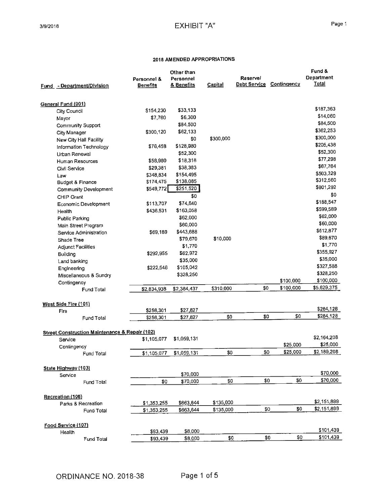|                                                           | Personnel &     | Other than<br>Personnel |                | <b>Reservel</b> |                    | Fund &<br><b>Department</b> |
|-----------------------------------------------------------|-----------------|-------------------------|----------------|-----------------|--------------------|-----------------------------|
| Fund - Department/Division                                | <u>Benefits</u> | & Benefits              | <b>Capital</b> | Debt Service    | <b>Contingency</b> | <b>Total</b>                |
| General Fund (001)                                        |                 |                         |                |                 |                    |                             |
| City Council                                              | \$154,230       | \$33,133                |                |                 |                    | \$187,363                   |
| Mayor                                                     | \$7,760         | \$6,300                 |                |                 |                    | \$14,060                    |
| <b>Community Support</b>                                  |                 | \$84,500                |                |                 |                    | \$84,500                    |
| City Manager                                              | \$300,120       | \$62,133                |                |                 |                    | \$362,253                   |
| New City Hall Facility                                    |                 | \$0                     | \$300,000      |                 |                    | \$300,000                   |
| Information Technology                                    | \$76,458        | \$128,980               |                |                 |                    | \$205,438                   |
| Urban Renewal                                             |                 | \$52,300                |                |                 |                    | \$52,300                    |
| Human Resources                                           | \$58,980        | \$18,318                |                |                 |                    | \$77,298                    |
| Civil Service                                             | \$29,381        | \$38,383                |                |                 |                    | \$67,764                    |
| Law                                                       | \$348,834       | \$154,495               |                |                 |                    | \$503,329                   |
| <b>Budget &amp; Finance</b>                               | \$174,475       | \$138,085               |                |                 |                    | \$312,560                   |
|                                                           | \$549,772       | \$251,520               |                |                 |                    | \$801,292                   |
| <b>Community Development</b>                              |                 | \$0                     |                |                 |                    | \$0                         |
| <b>CHIP Grant</b>                                         |                 |                         |                |                 |                    | \$188,547                   |
| Economic Development                                      | \$113,707       | \$74,840                |                |                 |                    | \$599,589                   |
| Health                                                    | \$436,531       | \$163,058               |                |                 |                    | \$62,000                    |
| Public Parking                                            |                 | \$62,000                |                |                 |                    | \$60,000                    |
| Main Street Program                                       |                 | \$60,000                |                |                 |                    |                             |
| Service Administration                                    | \$69,169        | \$443,688               |                |                 |                    | \$512,877                   |
| Shade Tree                                                |                 | \$79,670                | \$10,000       |                 |                    | \$89,670                    |
| <b>Adjunct Facilities</b>                                 |                 | \$1,770                 |                |                 |                    | \$1,770                     |
| <b>Building</b>                                           | \$292,955       | \$62,972                |                |                 |                    | \$355,927                   |
| Land banking                                              |                 | \$35,000                |                |                 |                    | \$35,000                    |
| Engineering                                               | \$222,546       | \$105,042               |                |                 |                    | \$327,588                   |
| Miscellaneous & Sundry                                    |                 | \$326,250               |                |                 |                    | \$328,250                   |
| Contingency                                               |                 |                         |                |                 | \$100,000          | \$100,000                   |
| Fund Total                                                | \$2,834,938     | \$2,384,437             | \$310,000      | \$0             | \$100,000          | \$5,629,375                 |
| West Side Fire (101)                                      |                 |                         |                |                 |                    |                             |
| Fire                                                      | \$256,301       | \$27,827                |                |                 |                    | \$284,128                   |
| Fund Total                                                | \$256,301       | \$27,827                | \$0            | \$0             | \$0                | \$284,128                   |
|                                                           |                 |                         |                |                 |                    |                             |
| <b>Street Construction Maintenance &amp; Repair (102)</b> | \$1,105,077     | \$1,059,131             |                |                 |                    | \$2,164,208                 |
| Service                                                   |                 |                         |                |                 | \$25,000           | \$25,000                    |
| Contingency                                               |                 |                         | \$0            | \$0             | \$25,000           | \$2,189,208                 |
| Fund Total                                                | \$1,105,077     | \$1,059,131             |                |                 |                    |                             |
| State Highway (103)                                       |                 |                         |                |                 |                    |                             |
| Service                                                   |                 | \$70,000                |                |                 |                    | \$70,000                    |
|                                                           | \$0             | \$70,000                | \$0            | \$0             | \$0                | \$70,000                    |
| Fund Total                                                |                 |                         |                |                 |                    |                             |
| Recreation (106)                                          |                 |                         |                |                 |                    |                             |
| Parks & Recreation                                        | \$1,353,255     | \$663.644               | \$135,000      |                 |                    | \$2,151,899                 |
| Fund Total                                                | \$1,353,255     | \$663,644               | \$135,000      | \$0             | \$0                | \$2,151,899                 |
|                                                           |                 |                         |                |                 |                    |                             |
| Food Service (107)<br>Health                              | \$93,439        | \$8,000                 |                |                 |                    | \$101,439                   |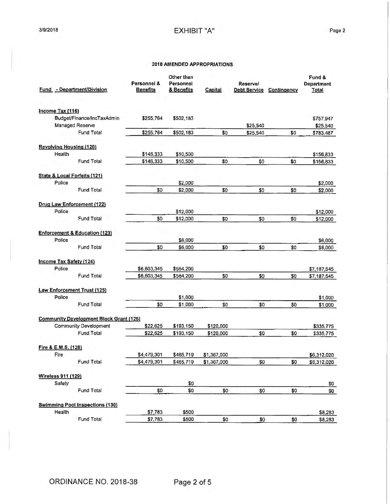| Fund - Department/Division                     | Personnel &<br><b>Benefits</b> | Other than<br>Personnel<br>& Benefits | Capital     | <b>Reservel</b><br><b>Debt Service</b> | Contingency | Fund &<br>Department<br><b>Total</b> |
|------------------------------------------------|--------------------------------|---------------------------------------|-------------|----------------------------------------|-------------|--------------------------------------|
| Income Tax (116)                               |                                |                                       |             |                                        |             |                                      |
| Budget/Finance/IncTaxAdmin                     | \$255,764                      | \$502,183                             |             |                                        |             | \$757,947                            |
| Managed Reserve<br>Fund Total                  |                                |                                       | \$0         | \$25,540                               | \$0         | \$25,540                             |
|                                                | \$255,764                      | \$502,183                             |             | \$25,540                               |             | \$783,487                            |
| <b>Revolving Housing (120)</b>                 |                                |                                       |             |                                        |             |                                      |
| Health                                         | \$146,333                      | \$10,500                              |             |                                        |             | \$156,833                            |
| Fund Total                                     | \$146,333                      | \$10,500                              | \$0         | \$0                                    | \$0         | \$156,833                            |
| State & Local Forfeits (121)                   |                                |                                       |             |                                        |             |                                      |
| Police                                         |                                | \$2,000                               |             |                                        |             | \$2,000                              |
| <b>Fund Total</b>                              | \$0                            | \$2,000                               | \$0         | \$0                                    | \$0         | \$2,000                              |
| Drug Law Enforcement (122)                     |                                |                                       |             |                                        |             |                                      |
| Police                                         |                                | \$12,000                              |             |                                        |             | \$12,000                             |
| Fund Total                                     | \$0                            | \$12,000                              | \$0         | \$0                                    | \$0         | \$12,000                             |
| <b>Enforcement &amp; Education (123)</b>       |                                |                                       |             |                                        |             |                                      |
| Police                                         |                                | \$6,000                               |             |                                        |             | \$6,000                              |
| Fund Total                                     | \$0                            | \$6,000                               | \$0         | \$0                                    | \$0         | \$6,000                              |
| Income Tax Safety (124)                        |                                |                                       |             |                                        |             |                                      |
| Police                                         | \$6,603,345                    | \$584,200                             |             |                                        |             | \$7,187,545                          |
| Fund Total                                     | \$6,603,345                    | \$584,200                             | \$0         | \$0                                    | \$0         | \$7,187,545                          |
| <b>Law Enforcement Trust (125)</b>             |                                |                                       |             |                                        |             |                                      |
| Police                                         |                                | \$1,000                               |             |                                        |             | \$1,000                              |
| Fund Total                                     | \$0                            | \$1,000                               | \$0         | \$0                                    | \$0         | \$1,000                              |
| <b>Community Development Block Grant (126)</b> |                                |                                       |             |                                        |             |                                      |
| Community Development                          | \$22,625                       | \$193,150                             | \$120,000   |                                        |             | \$335,775                            |
| <b>Fund Total</b>                              | \$22.625                       | \$193,150                             | \$120,000   | \$0                                    | \$0         | \$335,775                            |
| Fire & E.M.S. (128)                            |                                |                                       |             |                                        |             |                                      |
| Fire                                           | \$4,479,301                    | \$465,719                             | \$1,367,000 |                                        |             | \$6,312,020                          |
| Fund Total                                     | \$4,479,301                    | \$465,719                             | \$1,367,000 | \$0                                    | \$0         | \$6,312,020                          |
| <b>Wireless 911 (129)</b>                      |                                |                                       |             |                                        |             |                                      |
| Safety                                         |                                | \$0                                   |             |                                        |             | 80                                   |
| Fund Total                                     | \$0                            | \$0                                   | \$0         | \$0                                    | \$0         | \$0                                  |
| <b>Swimming Pool Inspections (130)</b>         |                                |                                       |             |                                        |             |                                      |
| Health                                         | \$7,783                        | \$500                                 |             |                                        |             | \$8,283                              |
| Fund Total                                     | \$7,783                        | \$500                                 | \$0         | \$0                                    | \$0         | \$8,283                              |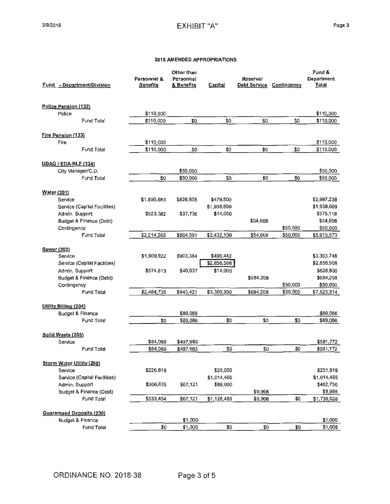|                    | Fund - Department/Division                       | Personnel &<br>Benefits | Other than<br>Personnel<br>& Benefits | Capital     | Reserve/<br><b>Debt Service</b> | Contingency | Fund &<br>Department<br><b>Total</b> |
|--------------------|--------------------------------------------------|-------------------------|---------------------------------------|-------------|---------------------------------|-------------|--------------------------------------|
|                    | Police Pension (132)                             |                         |                                       |             |                                 |             |                                      |
|                    | Police                                           | \$110,000               |                                       |             |                                 |             | \$110,000                            |
|                    | Fund Total                                       | \$110,000               | \$0                                   | \$0         | \$0                             | \$0         | \$110,000                            |
|                    | Fire Pension (133)                               |                         |                                       |             |                                 |             |                                      |
|                    | Fire                                             | \$110,000               |                                       |             |                                 |             | \$110,000                            |
|                    | Fund Total                                       | \$110,000               | \$0                                   | \$0         | \$0                             | \$0         | \$110,000                            |
|                    | <b>UDAG / EDA-RLF (134)</b>                      |                         |                                       |             |                                 |             |                                      |
|                    | City Manager/C.D.                                |                         | \$50,000                              |             |                                 |             | \$50,000                             |
|                    | Fund Total                                       | \$0                     | \$50,000                              | \$0         | \$0                             | \$0         | \$50,000                             |
| <b>Water (201)</b> |                                                  |                         |                                       |             |                                 |             |                                      |
|                    | Service                                          | \$1,690,883             | \$826,855                             | \$479,500   |                                 |             | \$2,997,238                          |
|                    | Service (Capital Facilities)                     |                         |                                       | \$1,938,609 |                                 |             | \$1,938,609                          |
|                    | Admin. Support                                   | \$523,382               | \$37,736                              | \$14,000    |                                 |             | \$575,118                            |
|                    | Budget & Finance (Debt)                          |                         |                                       |             | \$54,608                        |             | \$54,608                             |
|                    | Contingency                                      |                         |                                       |             |                                 | \$50,000    | \$50,000                             |
|                    | Fund Total                                       | \$2,214,265             | \$864,591                             | \$2,432,109 | \$54,608                        | \$50,000    | \$5,615,573                          |
|                    | <b>Sewer (202)</b>                               |                         |                                       |             |                                 |             |                                      |
|                    | Service                                          | \$1,909,922             | \$903,384                             | \$490,442   |                                 |             | \$3,303,748                          |
|                    | Service (Capital Facilities)                     |                         |                                       | \$2,856,508 |                                 |             | \$2,856,508                          |
|                    | Admin. Support                                   | \$574,813               | \$40,037                              | \$14,000    |                                 |             | \$628,850                            |
|                    | Budget & Finance (Debt)                          |                         |                                       |             | \$684,208                       |             | \$684,208                            |
|                    | Contingency                                      |                         |                                       |             |                                 | \$50,000    | \$50,000                             |
|                    | Fund Total                                       | \$2,484,735             | \$943,421                             | \$3,360,950 | \$684,208                       | \$50,000    | \$7,523,314                          |
|                    |                                                  |                         |                                       |             |                                 |             |                                      |
|                    | <b>Utility Billing (204)</b><br>Budget & Finance |                         | \$89,086                              |             |                                 |             | \$89,086                             |
|                    | Fund Total                                       | \$0                     | \$89,086                              | \$0         | \$0                             | \$0         | \$89,086                             |
|                    | Solid Waste (205)                                |                         |                                       |             |                                 |             |                                      |
|                    | Service                                          | \$84,089                | \$497,683                             |             |                                 |             | \$581,772                            |
|                    | Fund Total                                       | \$84,089                | \$497,683                             | \$0         | \$0                             | \$0         | \$581,772                            |
|                    | <b>Storm Water Utility (208)</b>                 |                         |                                       |             |                                 |             |                                      |
|                    | Service                                          | \$226,819               |                                       | \$25,000    |                                 |             | \$251,819                            |
|                    | Service (Capital Facilities)                     |                         |                                       | \$1,014,485 |                                 |             | \$1,014,485                          |
|                    | Admin. Support                                   | \$306,635               | \$67,121                              | \$89,000    |                                 |             | \$462,756                            |
|                    | Budget & Finance (Debt)                          |                         |                                       |             | \$9,968                         |             | \$9,968                              |
|                    | Fund Total                                       | \$533,454               | \$67,121                              | \$1,128,485 | \$9,968                         | \$0         | \$1,739,028                          |
|                    | <b>Guaranteed Deposits (230)</b>                 |                         |                                       |             |                                 |             |                                      |
|                    | <b>Budget &amp; Finance</b>                      |                         | \$1,000                               |             |                                 |             | \$1,000                              |
|                    | Fund Total                                       | \$0                     | \$1,000                               | \$0         | \$0                             | \$0         | \$1,000                              |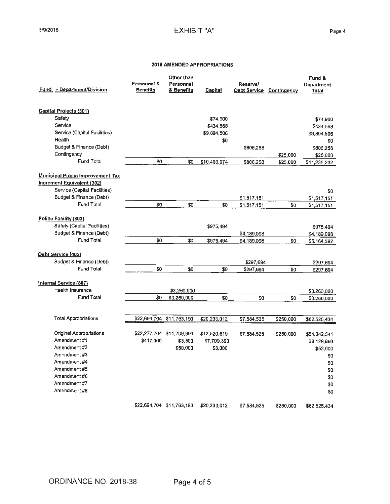| <b>Fund - Department/Division</b>                                                                     | Personnel &<br><u>Benefits</u> | Other than<br>Personnel<br>& Benefits | Capital      | Reserve/<br>Debt Service | Contingency | Fund &<br><b>Department</b><br>Total |
|-------------------------------------------------------------------------------------------------------|--------------------------------|---------------------------------------|--------------|--------------------------|-------------|--------------------------------------|
|                                                                                                       |                                |                                       |              |                          |             |                                      |
| Capital Projects (301)                                                                                |                                |                                       |              |                          |             |                                      |
| Safety                                                                                                |                                |                                       | \$74,900     |                          |             | \$74,900                             |
| Service                                                                                               |                                |                                       | \$434,568    |                          |             | \$434,568                            |
| Service (Capital Facilities)                                                                          |                                |                                       | \$9,894,506  |                          |             | \$9,894,506                          |
| Health                                                                                                |                                |                                       | \$0          |                          |             | \$0                                  |
| Budget & Finance (Debt)                                                                               |                                |                                       |              | \$806,258                |             | \$806,258                            |
| Contingency                                                                                           |                                |                                       |              |                          | \$25,000    | \$25,000                             |
| <b>Fund Total</b>                                                                                     | \$0                            | \$0                                   | \$10,403,974 | \$806,258                | \$25,000    | \$11,235,232                         |
| <b>Municipal Public Improvement Tax</b><br>Increment Equivalent (302)<br>Service (Capital Facilities) |                                |                                       |              |                          |             |                                      |
| Budget & Finance (Debt)                                                                               |                                |                                       |              |                          |             | \$0                                  |
| <b>Fund Total</b>                                                                                     | \$0                            | \$0                                   | \$0          | \$1,517,151              |             | \$1,517,151                          |
|                                                                                                       |                                |                                       |              | \$1,517,151              | \$0         | \$1,517,151                          |
| Police Facility (303)                                                                                 |                                |                                       |              |                          |             |                                      |
| Safety (Capital Facilities)                                                                           |                                |                                       | \$975,494    |                          |             | \$975,494                            |
| Budget & Finance (Debt)                                                                               |                                |                                       |              | \$4,189,098              |             | \$4,189,098                          |
| <b>Fund Total</b>                                                                                     | \$0                            | \$0                                   | \$975,494    | \$4,189,098              | \$0         | \$5,164,592                          |
|                                                                                                       |                                |                                       |              |                          |             |                                      |
| Debt Service (402)                                                                                    |                                |                                       |              |                          |             |                                      |
| Budget & Finance (Debt)                                                                               |                                |                                       |              | \$297,694                |             | \$297,694                            |
| Fund Total                                                                                            | \$0                            | \$0                                   | \$0          | \$297,694                | \$0         | \$297,694                            |
| Internal Service (807)                                                                                |                                |                                       |              |                          |             |                                      |
| Health Insurance                                                                                      |                                | \$3,260,000                           |              |                          |             | \$3,260,000                          |
| <b>Fund Total</b>                                                                                     | \$0                            | \$3,260,000                           | \$0          | \$0                      | \$0         | \$3,260,000                          |
|                                                                                                       |                                |                                       |              |                          |             |                                      |
| <b>Total Appropriations</b>                                                                           | \$22,694,704                   | \$11,763,193                          | \$20,233,012 | \$7,584,525              | \$250,000   | \$62,525,434                         |
|                                                                                                       |                                |                                       |              |                          |             |                                      |
| Original Appropriations                                                                               |                                | \$22,277,704 \$11,709,693             | \$12,520,619 | \$7,584,525              | \$250,000   | \$54,342,541                         |
| Amendment#1                                                                                           | \$417,000                      | \$3,500                               | \$7,709,393  |                          |             | \$8,129,893                          |
| Amendment#2                                                                                           |                                | \$50,000                              | \$3,000      |                          |             | \$53,000                             |
| Amendment #3                                                                                          |                                |                                       |              |                          |             | \$0                                  |
| Amendment #4                                                                                          |                                |                                       |              |                          |             | \$0                                  |
| Amendment #5                                                                                          |                                |                                       |              |                          |             | \$0                                  |
| Amendment #6                                                                                          |                                |                                       |              |                          |             | \$0                                  |
| Amendment #7                                                                                          |                                |                                       |              |                          |             | \$0                                  |
| Amendment #8                                                                                          |                                |                                       |              |                          |             | \$0                                  |
|                                                                                                       |                                | \$22,694,704 \$11,763,193             | \$20,233,012 | \$7,584,525              | \$250,000   | \$62,525,434                         |